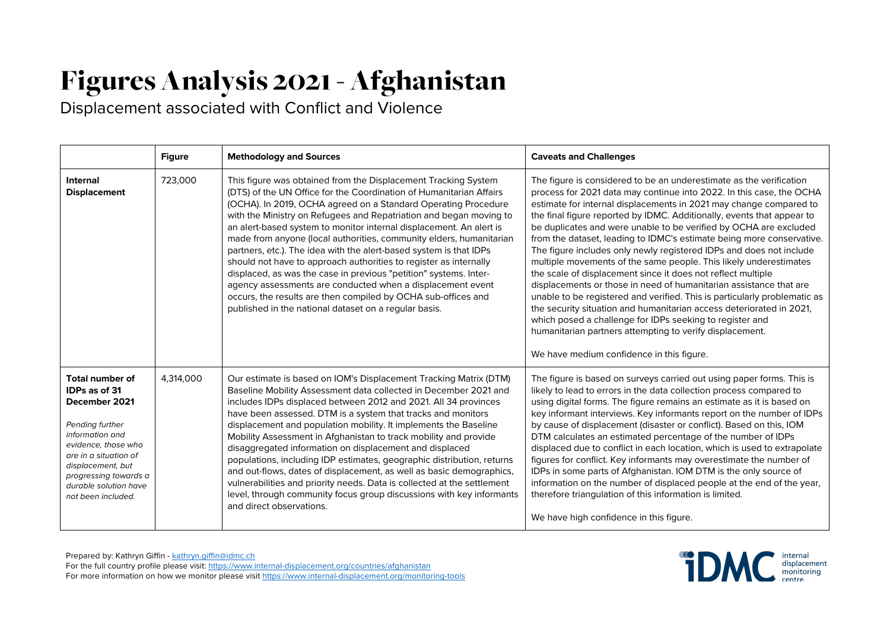## Figures Analysis 2021- Afghanistan

Displacement associated with Conflict and Violence

|                                                                                                                                                                                                                                             | <b>Figure</b> | <b>Methodology and Sources</b>                                                                                                                                                                                                                                                                                                                                                                                                                                                                                                                                                                                                                                                                                                                                                                                                      | <b>Caveats and Challenges</b>                                                                                                                                                                                                                                                                                                                                                                                                                                                                                                                                                                                                                                                                                                                                                                                                                                                                                                                                                                                                                         |
|---------------------------------------------------------------------------------------------------------------------------------------------------------------------------------------------------------------------------------------------|---------------|-------------------------------------------------------------------------------------------------------------------------------------------------------------------------------------------------------------------------------------------------------------------------------------------------------------------------------------------------------------------------------------------------------------------------------------------------------------------------------------------------------------------------------------------------------------------------------------------------------------------------------------------------------------------------------------------------------------------------------------------------------------------------------------------------------------------------------------|-------------------------------------------------------------------------------------------------------------------------------------------------------------------------------------------------------------------------------------------------------------------------------------------------------------------------------------------------------------------------------------------------------------------------------------------------------------------------------------------------------------------------------------------------------------------------------------------------------------------------------------------------------------------------------------------------------------------------------------------------------------------------------------------------------------------------------------------------------------------------------------------------------------------------------------------------------------------------------------------------------------------------------------------------------|
| <b>Internal</b><br><b>Displacement</b>                                                                                                                                                                                                      | 723,000       | This figure was obtained from the Displacement Tracking System<br>(DTS) of the UN Office for the Coordination of Humanitarian Affairs<br>(OCHA). In 2019, OCHA agreed on a Standard Operating Procedure<br>with the Ministry on Refugees and Repatriation and began moving to<br>an alert-based system to monitor internal displacement. An alert is<br>made from anyone (local authorities, community elders, humanitarian<br>partners, etc.). The idea with the alert-based system is that IDPs<br>should not have to approach authorities to register as internally<br>displaced, as was the case in previous "petition" systems. Inter-<br>agency assessments are conducted when a displacement event<br>occurs, the results are then compiled by OCHA sub-offices and<br>published in the national dataset on a regular basis. | The figure is considered to be an underestimate as the verification<br>process for 2021 data may continue into 2022. In this case, the OCHA<br>estimate for internal displacements in 2021 may change compared to<br>the final figure reported by IDMC. Additionally, events that appear to<br>be duplicates and were unable to be verified by OCHA are excluded<br>from the dataset, leading to IDMC's estimate being more conservative.<br>The figure includes only newly registered IDPs and does not include<br>multiple movements of the same people. This likely underestimates<br>the scale of displacement since it does not reflect multiple<br>displacements or those in need of humanitarian assistance that are<br>unable to be registered and verified. This is particularly problematic as<br>the security situation and humanitarian access deteriorated in 2021,<br>which posed a challenge for IDPs seeking to register and<br>humanitarian partners attempting to verify displacement.<br>We have medium confidence in this figure. |
| <b>Total number of</b><br>IDPs as of 31<br>December 2021<br>Pending further<br>information and<br>evidence, those who<br>are in a situation of<br>displacement, but<br>progressing towards a<br>durable solution have<br>not been included. | 4,314,000     | Our estimate is based on IOM's Displacement Tracking Matrix (DTM)<br>Baseline Mobility Assessment data collected in December 2021 and<br>includes IDPs displaced between 2012 and 2021. All 34 provinces<br>have been assessed. DTM is a system that tracks and monitors<br>displacement and population mobility. It implements the Baseline<br>Mobility Assessment in Afghanistan to track mobility and provide<br>disaggregated information on displacement and displaced<br>populations, including IDP estimates, geographic distribution, returns<br>and out-flows, dates of displacement, as well as basic demographics,<br>vulnerabilities and priority needs. Data is collected at the settlement<br>level, through community focus group discussions with key informants<br>and direct observations.                        | The figure is based on surveys carried out using paper forms. This is<br>likely to lead to errors in the data collection process compared to<br>using digital forms. The figure remains an estimate as it is based on<br>key informant interviews. Key informants report on the number of IDPs<br>by cause of displacement (disaster or conflict). Based on this, IOM<br>DTM calculates an estimated percentage of the number of IDPs<br>displaced due to conflict in each location, which is used to extrapolate<br>figures for conflict. Key informants may overestimate the number of<br>IDPs in some parts of Afghanistan. IOM DTM is the only source of<br>information on the number of displaced people at the end of the year,<br>therefore triangulation of this information is limited.<br>We have high confidence in this figure.                                                                                                                                                                                                           |